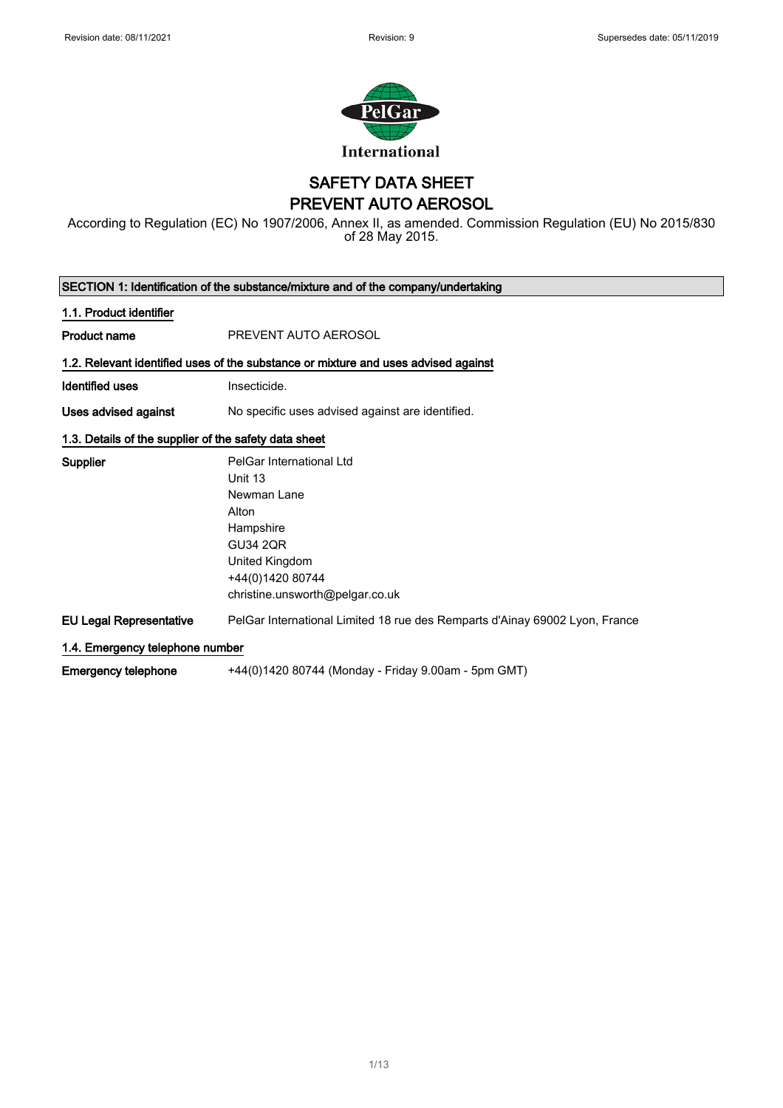$\overline{\phantom{a}}$ 



## SAFETY DATA SHEET PREVENT AUTO AEROSOL

According to Regulation (EC) No 1907/2006, Annex II, as amended. Commission Regulation (EU) No 2015/830 of 28 May 2015.

| SECTION 1: Identification of the substance/mixture and of the company/undertaking |                                                                                    |  |
|-----------------------------------------------------------------------------------|------------------------------------------------------------------------------------|--|
| 1.1. Product identifier                                                           |                                                                                    |  |
| <b>Product name</b>                                                               | PREVENT AUTO AEROSOL                                                               |  |
|                                                                                   | 1.2. Relevant identified uses of the substance or mixture and uses advised against |  |
| Identified uses                                                                   | Insecticide.                                                                       |  |
| Uses advised against                                                              | No specific uses advised against are identified.                                   |  |
| 1.3. Details of the supplier of the safety data sheet                             |                                                                                    |  |
| <b>Supplier</b>                                                                   | PelGar International Ltd                                                           |  |
|                                                                                   | Unit 13                                                                            |  |
|                                                                                   | Newman Lane                                                                        |  |
|                                                                                   | Alton                                                                              |  |
|                                                                                   | Hampshire                                                                          |  |
|                                                                                   | <b>GU34 2QR</b>                                                                    |  |
|                                                                                   | United Kingdom                                                                     |  |
|                                                                                   | +44(0)1420 80744                                                                   |  |
|                                                                                   | christine.unsworth@pelgar.co.uk                                                    |  |
| <b>EU Legal Representative</b>                                                    | PelGar International Limited 18 rue des Remparts d'Ainay 69002 Lyon, France        |  |
| 1.4. Emergency telephone number                                                   |                                                                                    |  |
| <b>Emergency telephone</b>                                                        | +44(0)1420 80744 (Monday - Friday 9.00am - 5pm GMT)                                |  |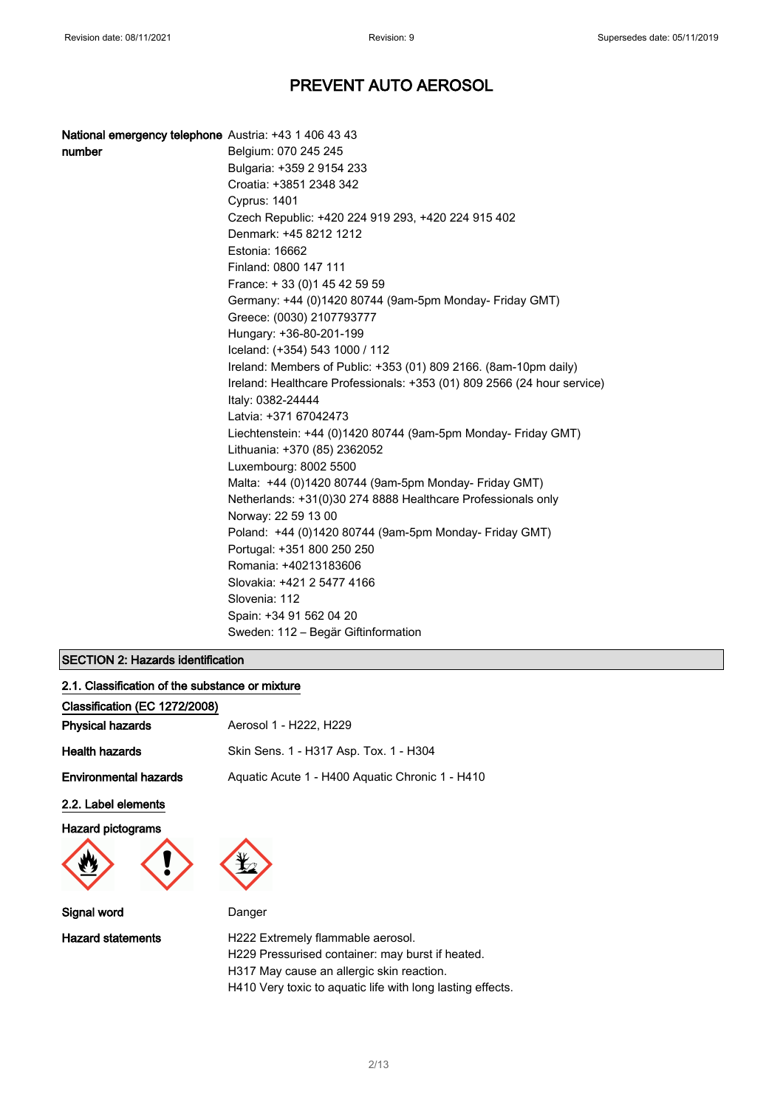| <b>National emergency telephone</b> Austria: +43 1 406 43 43 |                                                                         |
|--------------------------------------------------------------|-------------------------------------------------------------------------|
| number                                                       | Belgium: 070 245 245                                                    |
|                                                              | Bulgaria: +359 2 9154 233                                               |
|                                                              | Croatia: +3851 2348 342                                                 |
|                                                              | Cyprus: 1401                                                            |
|                                                              | Czech Republic: +420 224 919 293, +420 224 915 402                      |
|                                                              | Denmark: +45 8212 1212                                                  |
|                                                              | Estonia: 16662                                                          |
|                                                              | Finland: 0800 147 111                                                   |
|                                                              | France: +33 (0) 145 42 59 59                                            |
|                                                              | Germany: +44 (0)1420 80744 (9am-5pm Monday- Friday GMT)                 |
|                                                              | Greece: (0030) 2107793777                                               |
|                                                              | Hungary: +36-80-201-199                                                 |
|                                                              | Iceland: (+354) 543 1000 / 112                                          |
|                                                              | Ireland: Members of Public: +353 (01) 809 2166. (8am-10pm daily)        |
|                                                              | Ireland: Healthcare Professionals: +353 (01) 809 2566 (24 hour service) |
|                                                              | Italy: 0382-24444                                                       |
|                                                              | Latvia: +371 67042473                                                   |
|                                                              | Liechtenstein: +44 (0)1420 80744 (9am-5pm Monday- Friday GMT)           |
|                                                              | Lithuania: +370 (85) 2362052                                            |
|                                                              | Luxembourg: 8002 5500                                                   |
|                                                              | Malta: +44 (0)1420 80744 (9am-5pm Monday- Friday GMT)                   |
|                                                              | Netherlands: +31(0)30 274 8888 Healthcare Professionals only            |
|                                                              | Norway: 22 59 13 00                                                     |
|                                                              | Poland: +44 (0)1420 80744 (9am-5pm Monday- Friday GMT)                  |
|                                                              | Portugal: +351 800 250 250                                              |
|                                                              | Romania: +40213183606                                                   |
|                                                              | Slovakia: +421 2 5477 4166                                              |
|                                                              | Slovenia: 112                                                           |
|                                                              | Spain: +34 91 562 04 20                                                 |
|                                                              | Sweden: 112 – Begär Giftinformation                                     |

## SECTION 2: Hazards identification

| 2.1. Classification of the substance or mixture |                                                 |  |
|-------------------------------------------------|-------------------------------------------------|--|
| Classification (EC 1272/2008)                   |                                                 |  |
| <b>Physical hazards</b>                         | Aerosol 1 - H222, H229                          |  |
| <b>Health hazards</b>                           | Skin Sens. 1 - H317 Asp. Tox. 1 - H304          |  |
| <b>Environmental hazards</b>                    | Aguatic Acute 1 - H400 Aguatic Chronic 1 - H410 |  |
| 2.2. Label elements                             |                                                 |  |
| <b>Hazard pictograms</b>                        |                                                 |  |

Signal word **Danger** 

Hazard statements **H222 Extremely flammable aerosol.** H229 Pressurised container: may burst if heated. H317 May cause an allergic skin reaction. H410 Very toxic to aquatic life with long lasting effects.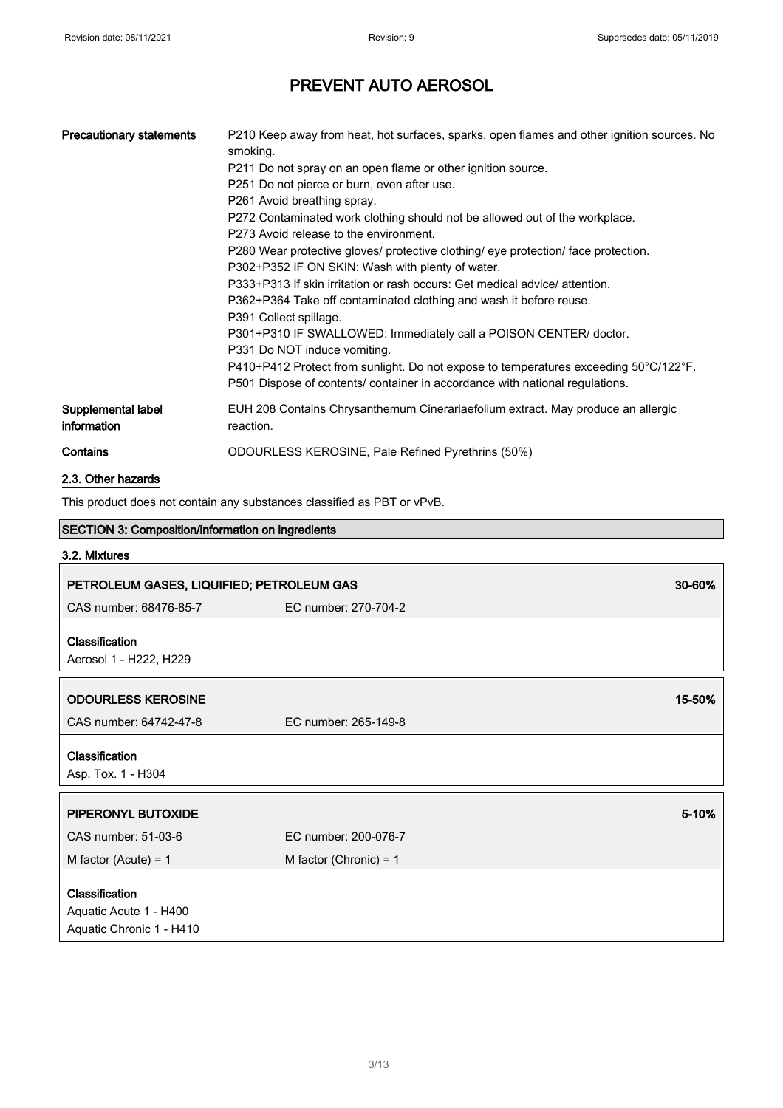| <b>Precautionary statements</b>                                         | P210 Keep away from heat, hot surfaces, sparks, open flames and other ignition sources. No<br>smoking.<br>P211 Do not spray on an open flame or other ignition source.<br>P251 Do not pierce or burn, even after use.<br>P261 Avoid breathing spray.<br>P272 Contaminated work clothing should not be allowed out of the workplace.<br>P273 Avoid release to the environment.<br>P280 Wear protective gloves/ protective clothing/ eye protection/ face protection.<br>P302+P352 IF ON SKIN: Wash with plenty of water.<br>P333+P313 If skin irritation or rash occurs: Get medical advice/ attention.<br>P362+P364 Take off contaminated clothing and wash it before reuse.<br>P391 Collect spillage.<br>P301+P310 IF SWALLOWED: Immediately call a POISON CENTER/ doctor.<br>P331 Do NOT induce vomiting.<br>P410+P412 Protect from sunlight. Do not expose to temperatures exceeding 50°C/122°F.<br>P501 Dispose of contents/ container in accordance with national regulations. |  |
|-------------------------------------------------------------------------|-------------------------------------------------------------------------------------------------------------------------------------------------------------------------------------------------------------------------------------------------------------------------------------------------------------------------------------------------------------------------------------------------------------------------------------------------------------------------------------------------------------------------------------------------------------------------------------------------------------------------------------------------------------------------------------------------------------------------------------------------------------------------------------------------------------------------------------------------------------------------------------------------------------------------------------------------------------------------------------|--|
| Supplemental label<br>information                                       | EUH 208 Contains Chrysanthemum Cinerariaefolium extract. May produce an allergic<br>reaction.                                                                                                                                                                                                                                                                                                                                                                                                                                                                                                                                                                                                                                                                                                                                                                                                                                                                                       |  |
| Contains                                                                | ODOURLESS KEROSINE, Pale Refined Pyrethrins (50%)                                                                                                                                                                                                                                                                                                                                                                                                                                                                                                                                                                                                                                                                                                                                                                                                                                                                                                                                   |  |
| 2.3. Other hazards                                                      |                                                                                                                                                                                                                                                                                                                                                                                                                                                                                                                                                                                                                                                                                                                                                                                                                                                                                                                                                                                     |  |
| This product does not contain any substances classified as PBT or vPvB. |                                                                                                                                                                                                                                                                                                                                                                                                                                                                                                                                                                                                                                                                                                                                                                                                                                                                                                                                                                                     |  |
| SECTION 3: Composition/information on ingredients                       |                                                                                                                                                                                                                                                                                                                                                                                                                                                                                                                                                                                                                                                                                                                                                                                                                                                                                                                                                                                     |  |
| 3.2. Mixtures                                                           |                                                                                                                                                                                                                                                                                                                                                                                                                                                                                                                                                                                                                                                                                                                                                                                                                                                                                                                                                                                     |  |

| PETROLEUM GASES, LIQUIFIED; PETROLEUM GAS                            |                          | 30-60% |
|----------------------------------------------------------------------|--------------------------|--------|
| CAS number: 68476-85-7                                               | EC number: 270-704-2     |        |
| Classification                                                       |                          |        |
| Aerosol 1 - H222, H229                                               |                          |        |
| <b>ODOURLESS KEROSINE</b>                                            |                          | 15-50% |
| CAS number: 64742-47-8                                               | EC number: 265-149-8     |        |
| <b>Classification</b><br>Asp. Tox. 1 - H304                          |                          |        |
| PIPERONYL BUTOXIDE                                                   |                          | 5-10%  |
| CAS number: 51-03-6                                                  | EC number: 200-076-7     |        |
| M factor (Acute) = $1$                                               | M factor (Chronic) = $1$ |        |
| Classification<br>Aquatic Acute 1 - H400<br>Aquatic Chronic 1 - H410 |                          |        |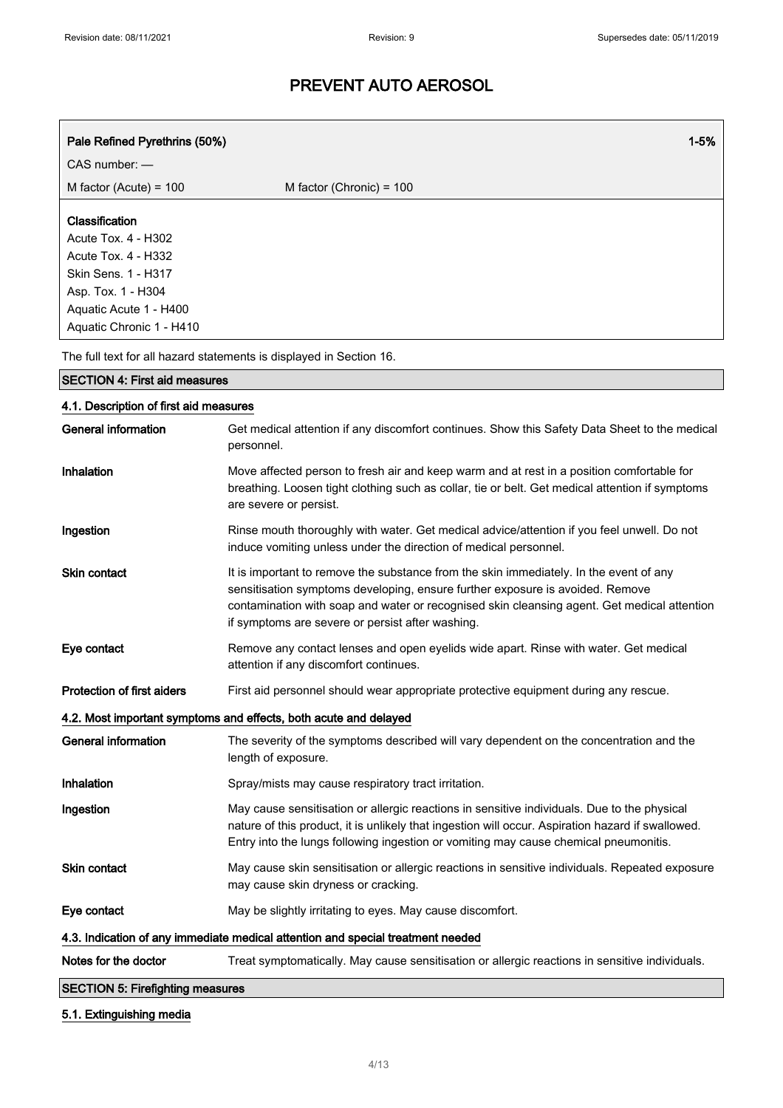| Pale Refined Pyrethrins (50%)          | $1 - 5%$                                                                                                                                                                                                                                                                                                                   |  |
|----------------------------------------|----------------------------------------------------------------------------------------------------------------------------------------------------------------------------------------------------------------------------------------------------------------------------------------------------------------------------|--|
| CAS number: -                          |                                                                                                                                                                                                                                                                                                                            |  |
| M factor (Acute) = $100$               | M factor (Chronic) = 100                                                                                                                                                                                                                                                                                                   |  |
| Classification                         |                                                                                                                                                                                                                                                                                                                            |  |
| <b>Acute Tox. 4 - H302</b>             |                                                                                                                                                                                                                                                                                                                            |  |
| Acute Tox. 4 - H332                    |                                                                                                                                                                                                                                                                                                                            |  |
| <b>Skin Sens. 1 - H317</b>             |                                                                                                                                                                                                                                                                                                                            |  |
| Asp. Tox. 1 - H304                     |                                                                                                                                                                                                                                                                                                                            |  |
| Aquatic Acute 1 - H400                 |                                                                                                                                                                                                                                                                                                                            |  |
| Aquatic Chronic 1 - H410               |                                                                                                                                                                                                                                                                                                                            |  |
|                                        | The full text for all hazard statements is displayed in Section 16.                                                                                                                                                                                                                                                        |  |
| <b>SECTION 4: First aid measures</b>   |                                                                                                                                                                                                                                                                                                                            |  |
| 4.1. Description of first aid measures |                                                                                                                                                                                                                                                                                                                            |  |
| <b>General information</b>             | Get medical attention if any discomfort continues. Show this Safety Data Sheet to the medical<br>personnel.                                                                                                                                                                                                                |  |
| Inhalation                             | Move affected person to fresh air and keep warm and at rest in a position comfortable for<br>breathing. Loosen tight clothing such as collar, tie or belt. Get medical attention if symptoms<br>are severe or persist.                                                                                                     |  |
| Ingestion                              | Rinse mouth thoroughly with water. Get medical advice/attention if you feel unwell. Do not<br>induce vomiting unless under the direction of medical personnel.                                                                                                                                                             |  |
| Skin contact                           | It is important to remove the substance from the skin immediately. In the event of any<br>sensitisation symptoms developing, ensure further exposure is avoided. Remove<br>contamination with soap and water or recognised skin cleansing agent. Get medical attention<br>if symptoms are severe or persist after washing. |  |
| Eye contact                            | Remove any contact lenses and open eyelids wide apart. Rinse with water. Get medical<br>attention if any discomfort continues.                                                                                                                                                                                             |  |
| <b>Protection of first aiders</b>      | First aid personnel should wear appropriate protective equipment during any rescue.                                                                                                                                                                                                                                        |  |
|                                        | 4.2. Most important symptoms and effects, both acute and delayed                                                                                                                                                                                                                                                           |  |
| <b>General information</b>             | The severity of the symptoms described will vary dependent on the concentration and the<br>length of exposure.                                                                                                                                                                                                             |  |
| Inhalation                             | Spray/mists may cause respiratory tract irritation.                                                                                                                                                                                                                                                                        |  |
|                                        |                                                                                                                                                                                                                                                                                                                            |  |

- Ingestion May cause sensitisation or allergic reactions in sensitive individuals. Due to the physical nature of this product, it is unlikely that ingestion will occur. Aspiration hazard if swallowed. Entry into the lungs following ingestion or vomiting may cause chemical pneumonitis.
- Skin contact May cause skin sensitisation or allergic reactions in sensitive individuals. Repeated exposure may cause skin dryness or cracking.

Eye contact May be slightly irritating to eyes. May cause discomfort.

4.3. Indication of any immediate medical attention and special treatment needed

Notes for the doctor Treat symptomatically. May cause sensitisation or allergic reactions in sensitive individuals.

SECTION 5: Firefighting measures

## 5.1. Extinguishing media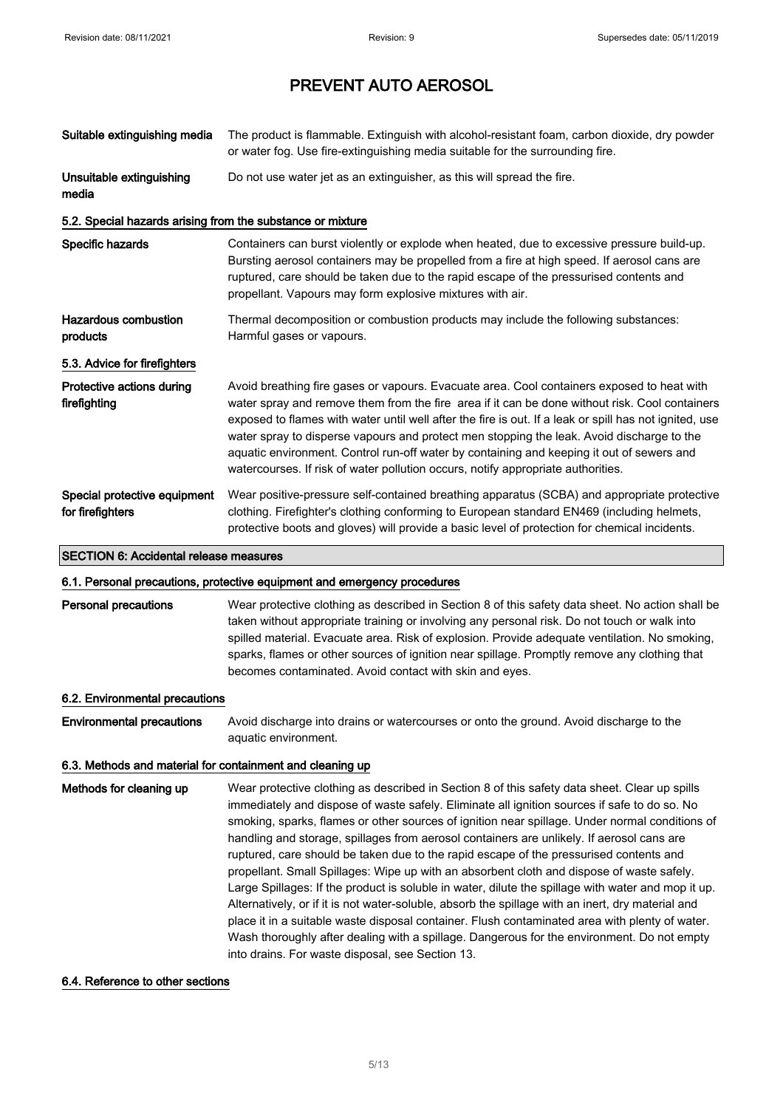| Suitable extinguishing media                               | The product is flammable. Extinguish with alcohol-resistant foam, carbon dioxide, dry powder<br>or water fog. Use fire-extinguishing media suitable for the surrounding fire.                                                                                                                                                                                                                                                                                                                                                                                                        |
|------------------------------------------------------------|--------------------------------------------------------------------------------------------------------------------------------------------------------------------------------------------------------------------------------------------------------------------------------------------------------------------------------------------------------------------------------------------------------------------------------------------------------------------------------------------------------------------------------------------------------------------------------------|
| Unsuitable extinguishing<br>media                          | Do not use water jet as an extinguisher, as this will spread the fire.                                                                                                                                                                                                                                                                                                                                                                                                                                                                                                               |
| 5.2. Special hazards arising from the substance or mixture |                                                                                                                                                                                                                                                                                                                                                                                                                                                                                                                                                                                      |
| Specific hazards                                           | Containers can burst violently or explode when heated, due to excessive pressure build-up.<br>Bursting aerosol containers may be propelled from a fire at high speed. If aerosol cans are<br>ruptured, care should be taken due to the rapid escape of the pressurised contents and<br>propellant. Vapours may form explosive mixtures with air.                                                                                                                                                                                                                                     |
| <b>Hazardous combustion</b><br>products                    | Thermal decomposition or combustion products may include the following substances:<br>Harmful gases or vapours.                                                                                                                                                                                                                                                                                                                                                                                                                                                                      |
| 5.3. Advice for firefighters                               |                                                                                                                                                                                                                                                                                                                                                                                                                                                                                                                                                                                      |
| Protective actions during<br>firefighting                  | Avoid breathing fire gases or vapours. Evacuate area. Cool containers exposed to heat with<br>water spray and remove them from the fire area if it can be done without risk. Cool containers<br>exposed to flames with water until well after the fire is out. If a leak or spill has not ignited, use<br>water spray to disperse vapours and protect men stopping the leak. Avoid discharge to the<br>aquatic environment. Control run-off water by containing and keeping it out of sewers and<br>watercourses. If risk of water pollution occurs, notify appropriate authorities. |
| Special protective equipment<br>for firefighters           | Wear positive-pressure self-contained breathing apparatus (SCBA) and appropriate protective<br>clothing. Firefighter's clothing conforming to European standard EN469 (including helmets,<br>protective boots and gloves) will provide a basic level of protection for chemical incidents.                                                                                                                                                                                                                                                                                           |
| <b>SECTION 6: Accidental release measures</b>              |                                                                                                                                                                                                                                                                                                                                                                                                                                                                                                                                                                                      |
|                                                            | 6.1. Personal precautions, protective equipment and emergency procedures                                                                                                                                                                                                                                                                                                                                                                                                                                                                                                             |
| <b>Personal precautions</b>                                | Wear protective clothing as described in Section 8 of this safety data sheet. No action shall be<br>taken without appropriate training or involving any personal risk. Do not touch or walk into<br>spilled material. Evacuate area. Risk of explosion. Provide adequate ventilation. No smoking,<br>sparks, flames or other sources of ignition near spillage. Promptly remove any clothing that<br>becomes contaminated. Avoid contact with skin and eyes.                                                                                                                         |
| 6.2. Environmental precautions                             |                                                                                                                                                                                                                                                                                                                                                                                                                                                                                                                                                                                      |
| <b>Environmental precautions</b>                           | Avoid discharge into drains or watercourses or onto the ground. Avoid discharge to the<br>aquatic environment.                                                                                                                                                                                                                                                                                                                                                                                                                                                                       |
| 6.3. Methods and material for containment and cleaning up  |                                                                                                                                                                                                                                                                                                                                                                                                                                                                                                                                                                                      |
| Methods for cleaning up                                    | Wear protective clothing as described in Section 8 of this safety data sheet. Clear up spills<br>immediately and dispose of waste safely. Eliminate all ignition sources if safe to do so. No<br>smoking, sparks, flames or other sources of ignition near spillage. Under normal conditions of<br>handling and storage, spillages from aerosol containers are unlikely. If aerosol cans are                                                                                                                                                                                         |

ruptured, care should be taken due to the rapid escape of the pressurised contents and propellant. Small Spillages: Wipe up with an absorbent cloth and dispose of waste safely. Large Spillages: If the product is soluble in water, dilute the spillage with water and mop it up. Alternatively, or if it is not water-soluble, absorb the spillage with an inert, dry material and place it in a suitable waste disposal container. Flush contaminated area with plenty of water. Wash thoroughly after dealing with a spillage. Dangerous for the environment. Do not empty into drains. For waste disposal, see Section 13.

## 6.4. Reference to other sections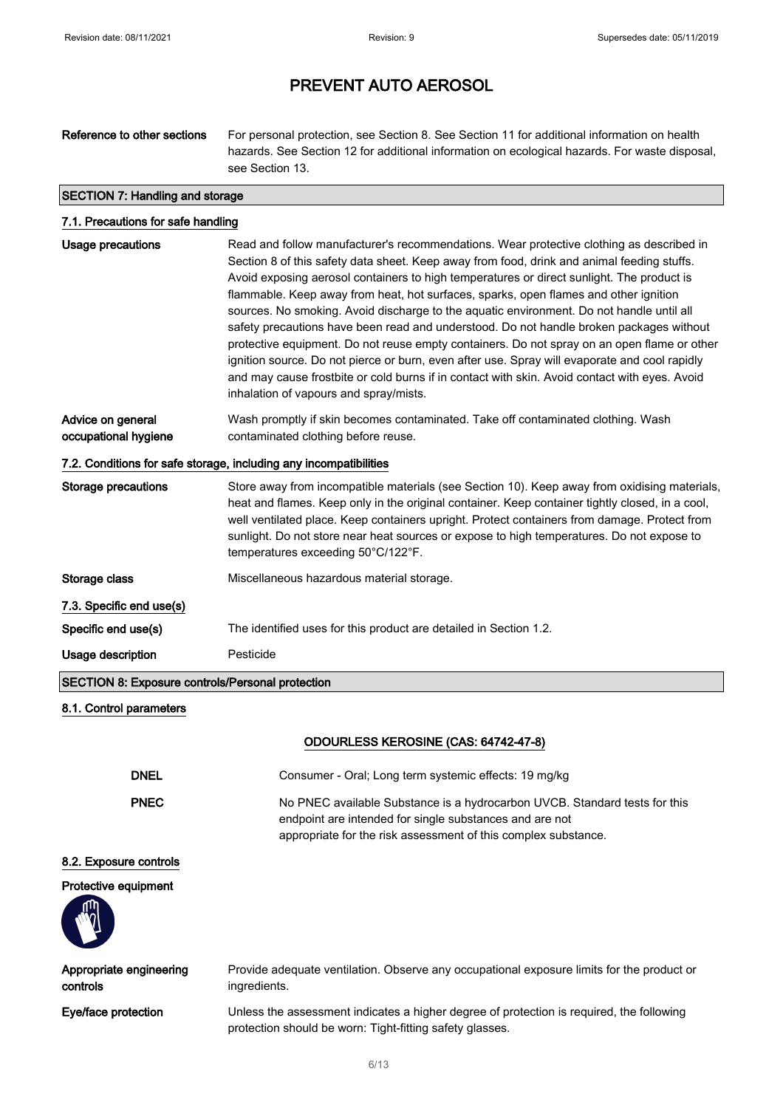Reference to other sections For personal protection, see Section 8. See Section 11 for additional information on health hazards. See Section 12 for additional information on ecological hazards. For waste disposal, see Section 13. SECTION 7: Handling and storage 7.1. Precautions for safe handling

| <b>Usage precautions</b>                                          | Read and follow manufacturer's recommendations. Wear protective clothing as described in        |  |
|-------------------------------------------------------------------|-------------------------------------------------------------------------------------------------|--|
|                                                                   | Section 8 of this safety data sheet. Keep away from food, drink and animal feeding stuffs.      |  |
|                                                                   | Avoid exposing aerosol containers to high temperatures or direct sunlight. The product is       |  |
|                                                                   | flammable. Keep away from heat, hot surfaces, sparks, open flames and other ignition            |  |
|                                                                   | sources. No smoking. Avoid discharge to the aquatic environment. Do not handle until all        |  |
|                                                                   | safety precautions have been read and understood. Do not handle broken packages without         |  |
|                                                                   | protective equipment. Do not reuse empty containers. Do not spray on an open flame or other     |  |
|                                                                   | ignition source. Do not pierce or burn, even after use. Spray will evaporate and cool rapidly   |  |
|                                                                   | and may cause frostbite or cold burns if in contact with skin. Avoid contact with eyes. Avoid   |  |
|                                                                   | inhalation of vapours and spray/mists.                                                          |  |
|                                                                   |                                                                                                 |  |
| Advice on general                                                 | Wash promptly if skin becomes contaminated. Take off contaminated clothing. Wash                |  |
| occupational hygiene                                              | contaminated clothing before reuse.                                                             |  |
| 7.2. Conditions for safe storage, including any incompatibilities |                                                                                                 |  |
| <b>Storage precautions</b>                                        | Store away from incompatible materials (see Section 10). Keep away from oxidising materials,    |  |
|                                                                   | heat and flames. Keep only in the original container. Keep container tightly closed, in a cool, |  |
|                                                                   | well ventilated place. Keep containers upright. Protect containers from damage. Protect from    |  |
|                                                                   | sunlight. Do not store near heat sources or expose to high temperatures. Do not expose to       |  |
|                                                                   | temperatures exceeding 50°C/122°F.                                                              |  |
| Storage class                                                     | Miscellaneous hazardous material storage.                                                       |  |
| 7.3. Specific end use(s)                                          |                                                                                                 |  |
| Specific end use(s)                                               | The identified uses for this product are detailed in Section 1.2.                               |  |
| Usage description                                                 | Pesticide                                                                                       |  |
| <b>SECTION 8: Exposure controls/Personal protection</b>           |                                                                                                 |  |
|                                                                   |                                                                                                 |  |

## 8.1. Control parameters

## ODOURLESS KEROSINE (CAS: 64742-47-8)

| DNEL              | Consumer - Oral: Long term systemic effects: 19 mg/kg                                                                                                                                                   |
|-------------------|---------------------------------------------------------------------------------------------------------------------------------------------------------------------------------------------------------|
| <b>PNEC</b>       | No PNEC available Substance is a hydrocarbon UVCB. Standard tests for this<br>endpoint are intended for single substances and are not<br>appropriate for the risk assessment of this complex substance. |
| مامسا سميم مسرومم |                                                                                                                                                                                                         |

## 8.2. Exposure controls

## Protective equipment



| Appropriate engineering | Provide adequate ventilation. Observe any occupational exposure limits for the product or                                                            |
|-------------------------|------------------------------------------------------------------------------------------------------------------------------------------------------|
| controls                | ingredients.                                                                                                                                         |
| Eye/face protection     | Unless the assessment indicates a higher degree of protection is required, the following<br>protection should be worn: Tight-fitting safety glasses. |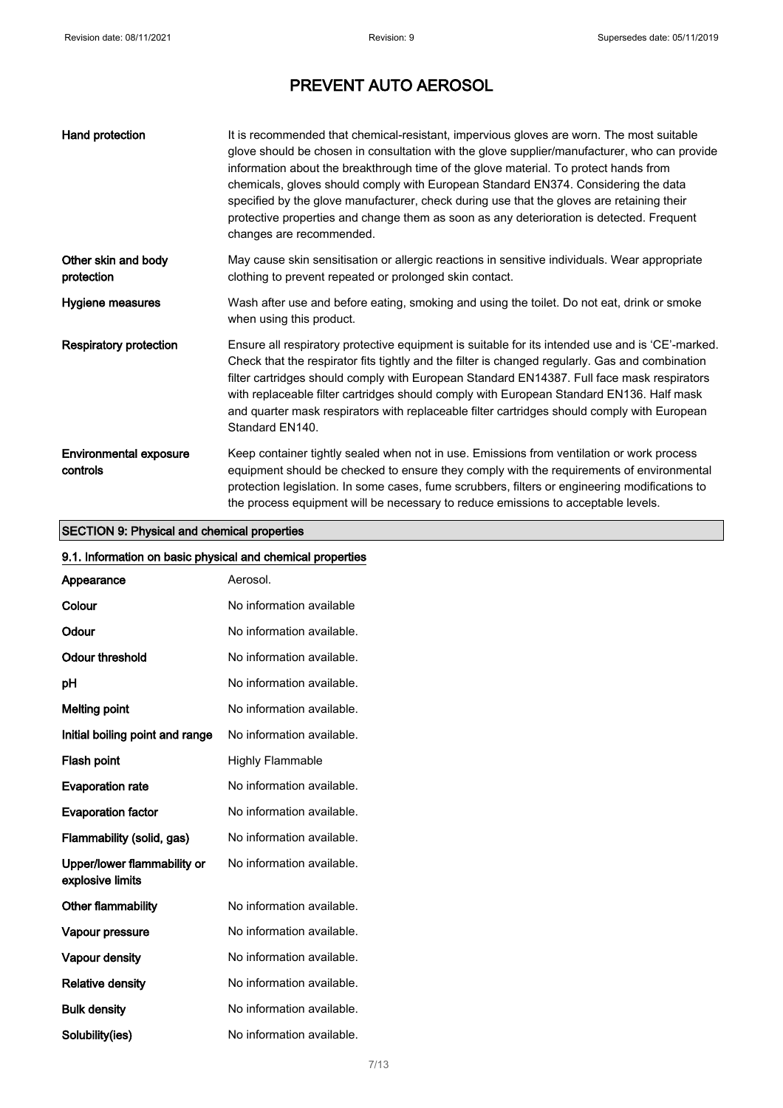| Hand protection                           | It is recommended that chemical-resistant, impervious gloves are worn. The most suitable<br>glove should be chosen in consultation with the glove supplier/manufacturer, who can provide<br>information about the breakthrough time of the glove material. To protect hands from<br>chemicals, gloves should comply with European Standard EN374. Considering the data<br>specified by the glove manufacturer, check during use that the gloves are retaining their<br>protective properties and change them as soon as any deterioration is detected. Frequent<br>changes are recommended. |
|-------------------------------------------|---------------------------------------------------------------------------------------------------------------------------------------------------------------------------------------------------------------------------------------------------------------------------------------------------------------------------------------------------------------------------------------------------------------------------------------------------------------------------------------------------------------------------------------------------------------------------------------------|
| Other skin and body<br>protection         | May cause skin sensitisation or allergic reactions in sensitive individuals. Wear appropriate<br>clothing to prevent repeated or prolonged skin contact.                                                                                                                                                                                                                                                                                                                                                                                                                                    |
| Hygiene measures                          | Wash after use and before eating, smoking and using the toilet. Do not eat, drink or smoke<br>when using this product.                                                                                                                                                                                                                                                                                                                                                                                                                                                                      |
| <b>Respiratory protection</b>             | Ensure all respiratory protective equipment is suitable for its intended use and is 'CE'-marked.<br>Check that the respirator fits tightly and the filter is changed regularly. Gas and combination<br>filter cartridges should comply with European Standard EN14387. Full face mask respirators<br>with replaceable filter cartridges should comply with European Standard EN136. Half mask<br>and quarter mask respirators with replaceable filter cartridges should comply with European<br>Standard EN140.                                                                             |
| <b>Environmental exposure</b><br>controls | Keep container tightly sealed when not in use. Emissions from ventilation or work process<br>equipment should be checked to ensure they comply with the requirements of environmental<br>protection legislation. In some cases, fume scrubbers, filters or engineering modifications to<br>the process equipment will be necessary to reduce emissions to acceptable levels.                                                                                                                                                                                                                |

## SECTION 9: Physical and chemical properties

| 9.1. Information on basic physical and chemical properties |                           |
|------------------------------------------------------------|---------------------------|
| Appearance                                                 | Aerosol.                  |
| Colour                                                     | No information available  |
| Odour                                                      | No information available. |
| Odour threshold                                            | No information available. |
| рH                                                         | No information available. |
| <b>Melting point</b>                                       | No information available. |
| Initial boiling point and range                            | No information available. |
| Flash point                                                | <b>Highly Flammable</b>   |
| <b>Evaporation rate</b>                                    | No information available. |
| <b>Evaporation factor</b>                                  | No information available. |
| Flammability (solid, gas)                                  | No information available. |
| Upper/lower flammability or<br>explosive limits            | No information available. |
| Other flammability                                         | No information available. |
| Vapour pressure                                            | No information available. |
| Vapour density                                             | No information available. |
| <b>Relative density</b>                                    | No information available. |
| <b>Bulk density</b>                                        | No information available. |
| Solubility(ies)                                            | No information available. |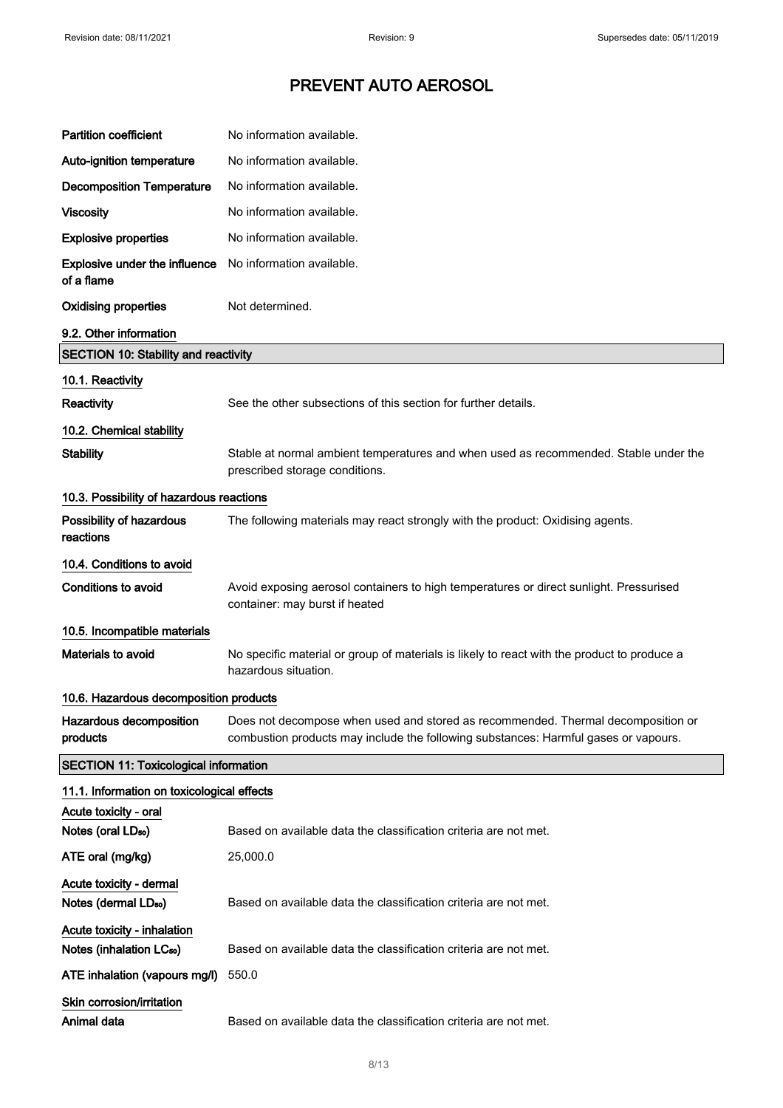| <b>Partition coefficient</b>                                        | No information available.                                                                                                                                               |
|---------------------------------------------------------------------|-------------------------------------------------------------------------------------------------------------------------------------------------------------------------|
| Auto-ignition temperature                                           | No information available.                                                                                                                                               |
| <b>Decomposition Temperature</b>                                    | No information available.                                                                                                                                               |
| <b>Viscosity</b>                                                    | No information available.                                                                                                                                               |
| <b>Explosive properties</b>                                         | No information available.                                                                                                                                               |
| Explosive under the influence<br>of a flame                         | No information available.                                                                                                                                               |
| <b>Oxidising properties</b>                                         | Not determined.                                                                                                                                                         |
| 9.2. Other information                                              |                                                                                                                                                                         |
| SECTION 10: Stability and reactivity                                |                                                                                                                                                                         |
| 10.1. Reactivity                                                    |                                                                                                                                                                         |
| Reactivity                                                          | See the other subsections of this section for further details.                                                                                                          |
| 10.2. Chemical stability                                            |                                                                                                                                                                         |
| <b>Stability</b>                                                    | Stable at normal ambient temperatures and when used as recommended. Stable under the<br>prescribed storage conditions.                                                  |
| 10.3. Possibility of hazardous reactions                            |                                                                                                                                                                         |
| Possibility of hazardous<br>reactions                               | The following materials may react strongly with the product: Oxidising agents.                                                                                          |
| 10.4. Conditions to avoid                                           |                                                                                                                                                                         |
| <b>Conditions to avoid</b>                                          | Avoid exposing aerosol containers to high temperatures or direct sunlight. Pressurised<br>container: may burst if heated                                                |
| 10.5. Incompatible materials                                        |                                                                                                                                                                         |
| <b>Materials to avoid</b>                                           | No specific material or group of materials is likely to react with the product to produce a<br>hazardous situation.                                                     |
| 10.6. Hazardous decomposition products                              |                                                                                                                                                                         |
| Hazardous decomposition<br>products                                 | Does not decompose when used and stored as recommended. Thermal decomposition or<br>combustion products may include the following substances: Harmful gases or vapours. |
| <b>SECTION 11: Toxicological information</b>                        |                                                                                                                                                                         |
| 11.1. Information on toxicological effects                          |                                                                                                                                                                         |
| Acute toxicity - oral                                               |                                                                                                                                                                         |
| Notes (oral LD <sub>50</sub> )                                      | Based on available data the classification criteria are not met.                                                                                                        |
| ATE oral (mg/kg)                                                    | 25,000.0                                                                                                                                                                |
| Acute toxicity - dermal<br>Notes (dermal LD <sub>50</sub> )         | Based on available data the classification criteria are not met.                                                                                                        |
| Acute toxicity - inhalation<br>Notes (inhalation LC <sub>50</sub> ) | Based on available data the classification criteria are not met.                                                                                                        |
| ATE inhalation (vapours mg/l)                                       | 550.0                                                                                                                                                                   |
| Skin corrosion/irritation                                           |                                                                                                                                                                         |
| Animal data                                                         | Based on available data the classification criteria are not met.                                                                                                        |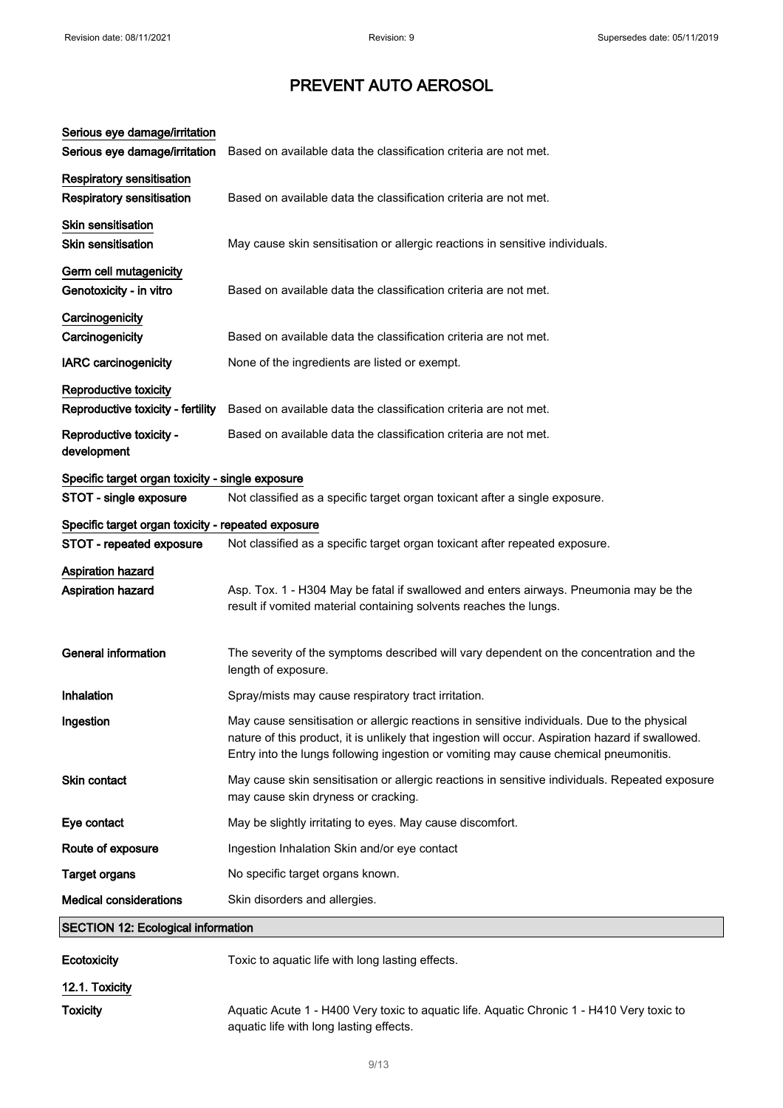| Serious eye damage/irritation                      |                                                                                                                                                                                                                                                                                          |
|----------------------------------------------------|------------------------------------------------------------------------------------------------------------------------------------------------------------------------------------------------------------------------------------------------------------------------------------------|
| Serious eye damage/irritation                      | Based on available data the classification criteria are not met.                                                                                                                                                                                                                         |
| Respiratory sensitisation                          |                                                                                                                                                                                                                                                                                          |
| <b>Respiratory sensitisation</b>                   | Based on available data the classification criteria are not met.                                                                                                                                                                                                                         |
| <b>Skin sensitisation</b>                          |                                                                                                                                                                                                                                                                                          |
| <b>Skin sensitisation</b>                          | May cause skin sensitisation or allergic reactions in sensitive individuals.                                                                                                                                                                                                             |
| Germ cell mutagenicity                             |                                                                                                                                                                                                                                                                                          |
| Genotoxicity - in vitro                            | Based on available data the classification criteria are not met.                                                                                                                                                                                                                         |
| Carcinogenicity                                    |                                                                                                                                                                                                                                                                                          |
| Carcinogenicity                                    | Based on available data the classification criteria are not met.                                                                                                                                                                                                                         |
| <b>IARC</b> carcinogenicity                        | None of the ingredients are listed or exempt.                                                                                                                                                                                                                                            |
| Reproductive toxicity                              |                                                                                                                                                                                                                                                                                          |
| Reproductive toxicity - fertility                  | Based on available data the classification criteria are not met.                                                                                                                                                                                                                         |
| Reproductive toxicity -                            | Based on available data the classification criteria are not met.                                                                                                                                                                                                                         |
| development                                        |                                                                                                                                                                                                                                                                                          |
| Specific target organ toxicity - single exposure   |                                                                                                                                                                                                                                                                                          |
| STOT - single exposure                             | Not classified as a specific target organ toxicant after a single exposure.                                                                                                                                                                                                              |
| Specific target organ toxicity - repeated exposure |                                                                                                                                                                                                                                                                                          |
| STOT - repeated exposure                           | Not classified as a specific target organ toxicant after repeated exposure.                                                                                                                                                                                                              |
| <b>Aspiration hazard</b>                           |                                                                                                                                                                                                                                                                                          |
| <b>Aspiration hazard</b>                           | Asp. Tox. 1 - H304 May be fatal if swallowed and enters airways. Pneumonia may be the<br>result if vomited material containing solvents reaches the lungs.                                                                                                                               |
|                                                    |                                                                                                                                                                                                                                                                                          |
| <b>General information</b>                         | The severity of the symptoms described will vary dependent on the concentration and the<br>length of exposure.                                                                                                                                                                           |
| Inhalation                                         | Spray/mists may cause respiratory tract irritation.                                                                                                                                                                                                                                      |
| Ingestion                                          | May cause sensitisation or allergic reactions in sensitive individuals. Due to the physical<br>nature of this product, it is unlikely that ingestion will occur. Aspiration hazard if swallowed.<br>Entry into the lungs following ingestion or vomiting may cause chemical pneumonitis. |
| <b>Skin contact</b>                                | May cause skin sensitisation or allergic reactions in sensitive individuals. Repeated exposure<br>may cause skin dryness or cracking.                                                                                                                                                    |
| Eye contact                                        | May be slightly irritating to eyes. May cause discomfort.                                                                                                                                                                                                                                |
| Route of exposure                                  | Ingestion Inhalation Skin and/or eye contact                                                                                                                                                                                                                                             |
| <b>Target organs</b>                               | No specific target organs known.                                                                                                                                                                                                                                                         |
| <b>Medical considerations</b>                      | Skin disorders and allergies.                                                                                                                                                                                                                                                            |
| <b>SECTION 12: Ecological information</b>          |                                                                                                                                                                                                                                                                                          |
| <b>Ecotoxicity</b>                                 | Toxic to aquatic life with long lasting effects.                                                                                                                                                                                                                                         |
| 12.1. Toxicity                                     |                                                                                                                                                                                                                                                                                          |
|                                                    |                                                                                                                                                                                                                                                                                          |

Toxicity **Aquatic Acute 1 - H400 Very toxic to aquatic life. Aquatic Chronic 1 - H410 Very toxic to** aquatic life with long lasting effects.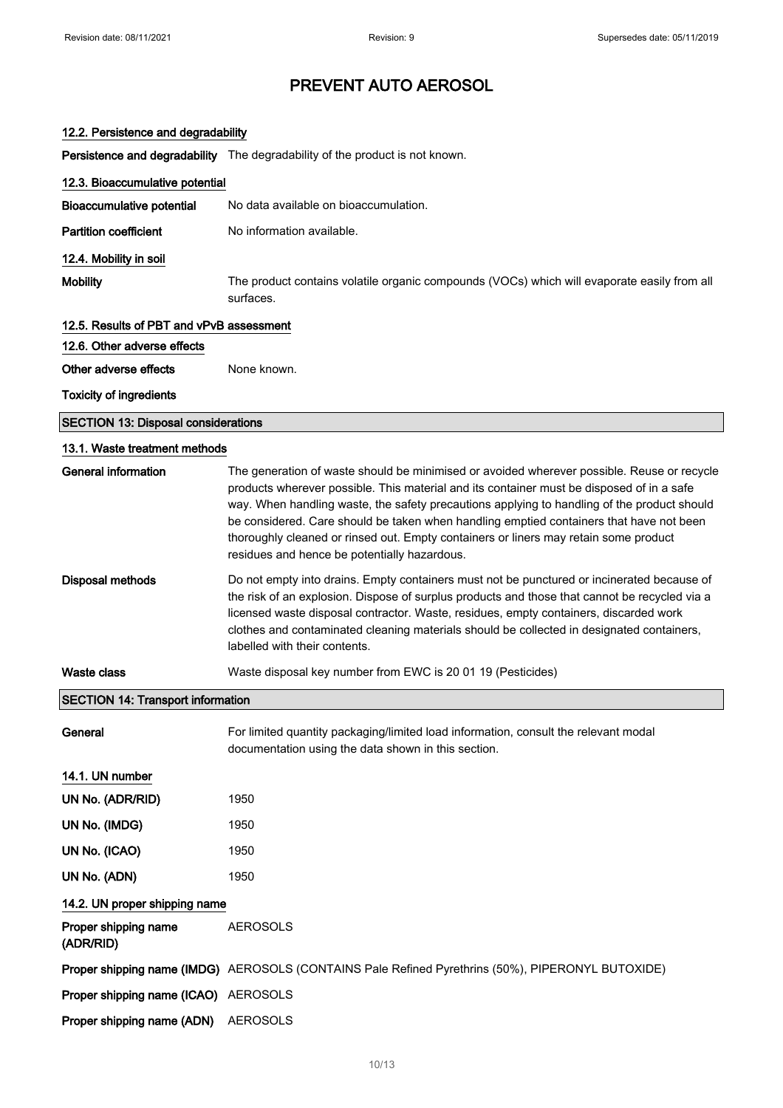| 12.2. Persistence and degradability        |                                                                                                                                                                                                                                                                                                                                                                                                                                                                                                                           |  |
|--------------------------------------------|---------------------------------------------------------------------------------------------------------------------------------------------------------------------------------------------------------------------------------------------------------------------------------------------------------------------------------------------------------------------------------------------------------------------------------------------------------------------------------------------------------------------------|--|
|                                            | Persistence and degradability The degradability of the product is not known.                                                                                                                                                                                                                                                                                                                                                                                                                                              |  |
| 12.3. Bioaccumulative potential            |                                                                                                                                                                                                                                                                                                                                                                                                                                                                                                                           |  |
| <b>Bioaccumulative potential</b>           | No data available on bioaccumulation.                                                                                                                                                                                                                                                                                                                                                                                                                                                                                     |  |
| <b>Partition coefficient</b>               | No information available.                                                                                                                                                                                                                                                                                                                                                                                                                                                                                                 |  |
| 12.4. Mobility in soil                     |                                                                                                                                                                                                                                                                                                                                                                                                                                                                                                                           |  |
| <b>Mobility</b>                            | The product contains volatile organic compounds (VOCs) which will evaporate easily from all<br>surfaces.                                                                                                                                                                                                                                                                                                                                                                                                                  |  |
| 12.5. Results of PBT and vPvB assessment   |                                                                                                                                                                                                                                                                                                                                                                                                                                                                                                                           |  |
| 12.6. Other adverse effects                |                                                                                                                                                                                                                                                                                                                                                                                                                                                                                                                           |  |
| Other adverse effects                      | None known.                                                                                                                                                                                                                                                                                                                                                                                                                                                                                                               |  |
| <b>Toxicity of ingredients</b>             |                                                                                                                                                                                                                                                                                                                                                                                                                                                                                                                           |  |
| <b>SECTION 13: Disposal considerations</b> |                                                                                                                                                                                                                                                                                                                                                                                                                                                                                                                           |  |
| 13.1. Waste treatment methods              |                                                                                                                                                                                                                                                                                                                                                                                                                                                                                                                           |  |
| <b>General information</b>                 | The generation of waste should be minimised or avoided wherever possible. Reuse or recycle<br>products wherever possible. This material and its container must be disposed of in a safe<br>way. When handling waste, the safety precautions applying to handling of the product should<br>be considered. Care should be taken when handling emptied containers that have not been<br>thoroughly cleaned or rinsed out. Empty containers or liners may retain some product<br>residues and hence be potentially hazardous. |  |
| <b>Disposal methods</b>                    | Do not empty into drains. Empty containers must not be punctured or incinerated because of<br>the risk of an explosion. Dispose of surplus products and those that cannot be recycled via a<br>licensed waste disposal contractor. Waste, residues, empty containers, discarded work<br>clothes and contaminated cleaning materials should be collected in designated containers,<br>labelled with their contents.                                                                                                        |  |
| Waste class                                | Waste disposal key number from EWC is 20 01 19 (Pesticides)                                                                                                                                                                                                                                                                                                                                                                                                                                                               |  |
| <b>SECTION 14: Transport information</b>   |                                                                                                                                                                                                                                                                                                                                                                                                                                                                                                                           |  |
| General                                    | For limited quantity packaging/limited load information, consult the relevant modal<br>documentation using the data shown in this section.                                                                                                                                                                                                                                                                                                                                                                                |  |
| 14.1. UN number                            |                                                                                                                                                                                                                                                                                                                                                                                                                                                                                                                           |  |
| UN No. (ADR/RID)                           | 1950                                                                                                                                                                                                                                                                                                                                                                                                                                                                                                                      |  |
| UN No. (IMDG)                              | 1950                                                                                                                                                                                                                                                                                                                                                                                                                                                                                                                      |  |
| UN No. (ICAO)                              | 1950                                                                                                                                                                                                                                                                                                                                                                                                                                                                                                                      |  |
| UN No. (ADN)                               | 1950                                                                                                                                                                                                                                                                                                                                                                                                                                                                                                                      |  |
| 14.2. UN proper shipping name              |                                                                                                                                                                                                                                                                                                                                                                                                                                                                                                                           |  |
| Proper shipping name<br>(ADR/RID)          | <b>AEROSOLS</b>                                                                                                                                                                                                                                                                                                                                                                                                                                                                                                           |  |
|                                            | Proper shipping name (IMDG) AEROSOLS (CONTAINS Pale Refined Pyrethrins (50%), PIPERONYL BUTOXIDE)                                                                                                                                                                                                                                                                                                                                                                                                                         |  |
| Proper shipping name (ICAO) AEROSOLS       |                                                                                                                                                                                                                                                                                                                                                                                                                                                                                                                           |  |
| Proper shipping name (ADN)                 | <b>AEROSOLS</b>                                                                                                                                                                                                                                                                                                                                                                                                                                                                                                           |  |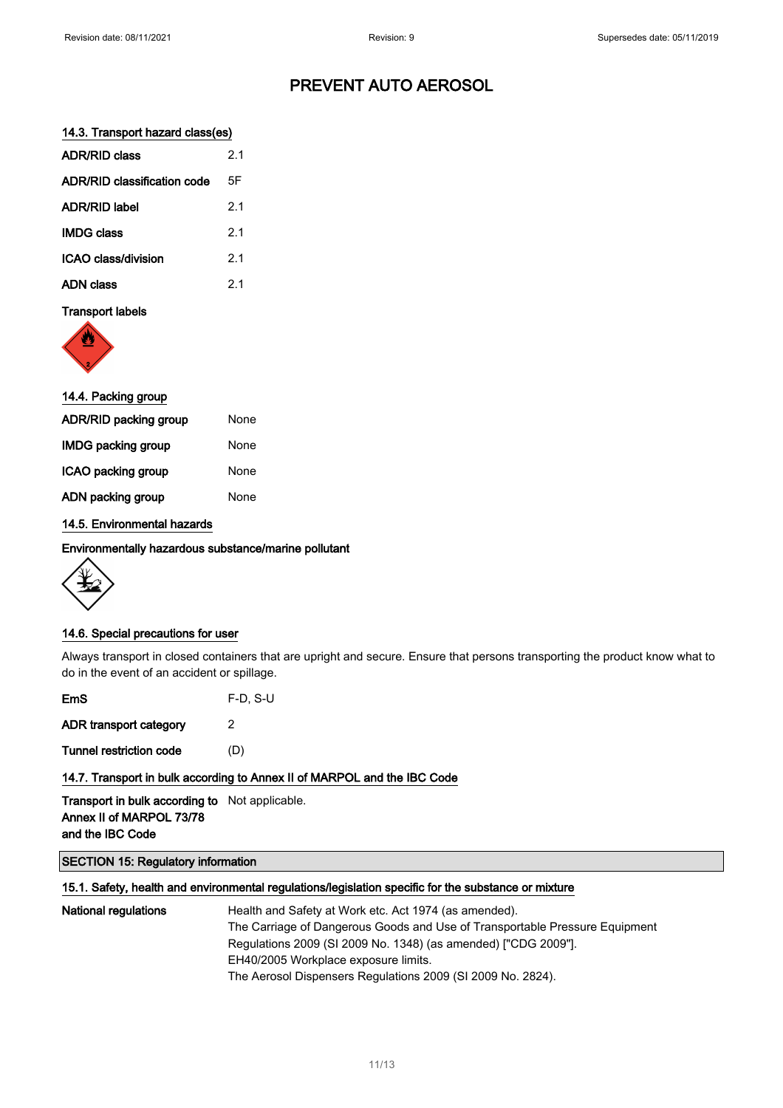## 14.3. Transport hazard class(es)

| <b>ADR/RID class</b>               | 21             |
|------------------------------------|----------------|
| <b>ADR/RID classification code</b> | 5F             |
| <b>ADR/RID label</b>               | 2.1            |
| <b>IMDG class</b>                  | 2 <sub>1</sub> |
| ICAO class/division                | 21             |
| <b>ADN class</b>                   | 21             |

## Transport labels



| 14.4. Packing group          |      |  |
|------------------------------|------|--|
| <b>ADR/RID packing group</b> | None |  |
| <b>IMDG packing group</b>    | None |  |
| ICAO packing group           | None |  |
| ADN packing group            | None |  |
|                              |      |  |

## 14.5. Environmental hazards

#### Environmentally hazardous substance/marine pollutant



## 14.6. Special precautions for user

Always transport in closed containers that are upright and secure. Ensure that persons transporting the product know what to do in the event of an accident or spillage.

| EmS                     | $F-D, S-U$ |
|-------------------------|------------|
| ADR transport category  | 2          |
| Tunnel restriction code | (D)        |
|                         |            |

## 14.7. Transport in bulk according to Annex II of MARPOL and the IBC Code

Transport in bulk according to Not applicable. Annex II of MARPOL 73/78 and the IBC Code

## SECTION 15: Regulatory information

#### 15.1. Safety, health and environmental regulations/legislation specific for the substance or mixture

National regulations **Health and Safety at Work etc. Act 1974 (as amended).** The Carriage of Dangerous Goods and Use of Transportable Pressure Equipment Regulations 2009 (SI 2009 No. 1348) (as amended) ["CDG 2009"]. EH40/2005 Workplace exposure limits. The Aerosol Dispensers Regulations 2009 (SI 2009 No. 2824).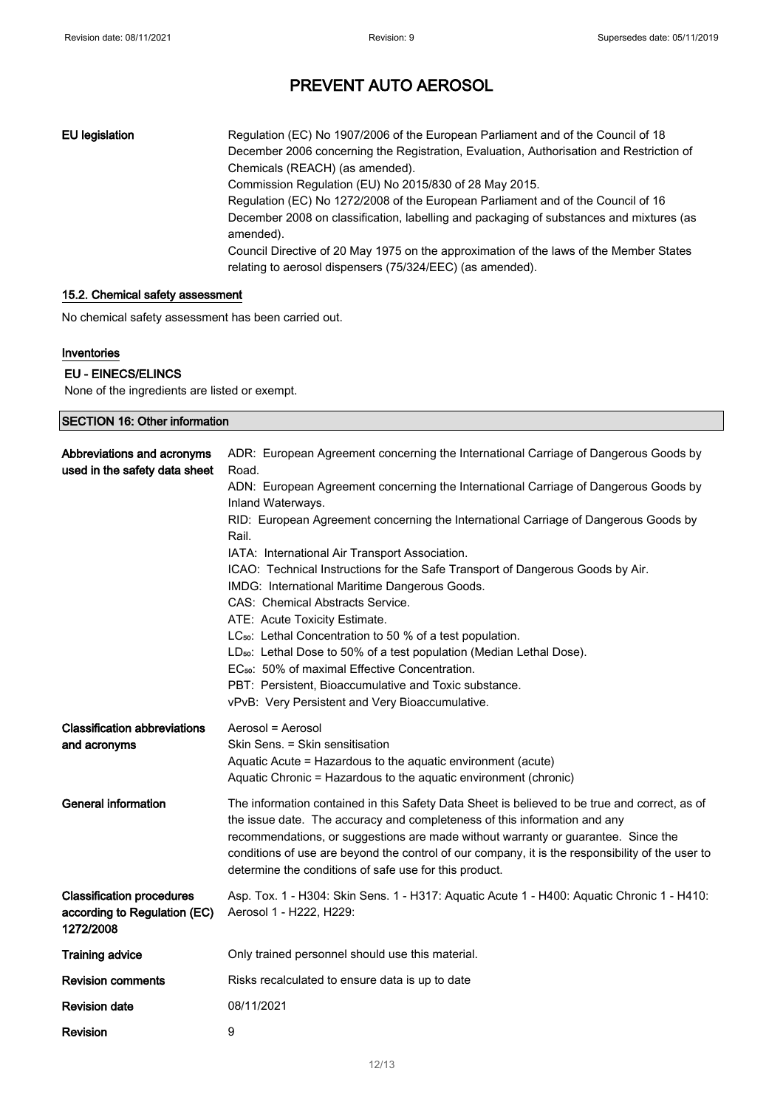EU legislation Regulation (EC) No 1907/2006 of the European Parliament and of the Council of 18 December 2006 concerning the Registration, Evaluation, Authorisation and Restriction of Chemicals (REACH) (as amended). Commission Regulation (EU) No 2015/830 of 28 May 2015. Regulation (EC) No 1272/2008 of the European Parliament and of the Council of 16 December 2008 on classification, labelling and packaging of substances and mixtures (as amended). Council Directive of 20 May 1975 on the approximation of the laws of the Member States relating to aerosol dispensers (75/324/EEC) (as amended).

## 15.2. Chemical safety assessment

No chemical safety assessment has been carried out.

## Inventories

## EU - EINECS/ELINCS

None of the ingredients are listed or exempt.

| <b>SECTION 16: Other information</b>                                          |                                                                                                                                                                                                                                                                                                                                                                                                                               |
|-------------------------------------------------------------------------------|-------------------------------------------------------------------------------------------------------------------------------------------------------------------------------------------------------------------------------------------------------------------------------------------------------------------------------------------------------------------------------------------------------------------------------|
| Abbreviations and acronyms<br>used in the safety data sheet                   | ADR: European Agreement concerning the International Carriage of Dangerous Goods by<br>Road.                                                                                                                                                                                                                                                                                                                                  |
|                                                                               | ADN: European Agreement concerning the International Carriage of Dangerous Goods by<br>Inland Waterways.                                                                                                                                                                                                                                                                                                                      |
|                                                                               | RID: European Agreement concerning the International Carriage of Dangerous Goods by<br>Rail.                                                                                                                                                                                                                                                                                                                                  |
|                                                                               | IATA: International Air Transport Association.                                                                                                                                                                                                                                                                                                                                                                                |
|                                                                               | ICAO: Technical Instructions for the Safe Transport of Dangerous Goods by Air.                                                                                                                                                                                                                                                                                                                                                |
|                                                                               | IMDG: International Maritime Dangerous Goods.                                                                                                                                                                                                                                                                                                                                                                                 |
|                                                                               | CAS: Chemical Abstracts Service.<br>ATE: Acute Toxicity Estimate.                                                                                                                                                                                                                                                                                                                                                             |
|                                                                               | LC <sub>50</sub> : Lethal Concentration to 50 % of a test population.                                                                                                                                                                                                                                                                                                                                                         |
|                                                                               | LD <sub>50</sub> : Lethal Dose to 50% of a test population (Median Lethal Dose).                                                                                                                                                                                                                                                                                                                                              |
|                                                                               | EC <sub>50</sub> : 50% of maximal Effective Concentration.                                                                                                                                                                                                                                                                                                                                                                    |
|                                                                               | PBT: Persistent, Bioaccumulative and Toxic substance.                                                                                                                                                                                                                                                                                                                                                                         |
|                                                                               | vPvB: Very Persistent and Very Bioaccumulative.                                                                                                                                                                                                                                                                                                                                                                               |
| <b>Classification abbreviations</b><br>and acronyms                           | Aerosol = Aerosol<br>Skin Sens. = Skin sensitisation<br>Aquatic Acute = Hazardous to the aquatic environment (acute)<br>Aquatic Chronic = Hazardous to the aquatic environment (chronic)                                                                                                                                                                                                                                      |
| <b>General information</b>                                                    | The information contained in this Safety Data Sheet is believed to be true and correct, as of<br>the issue date. The accuracy and completeness of this information and any<br>recommendations, or suggestions are made without warranty or guarantee. Since the<br>conditions of use are beyond the control of our company, it is the responsibility of the user to<br>determine the conditions of safe use for this product. |
| <b>Classification procedures</b><br>according to Regulation (EC)<br>1272/2008 | Asp. Tox. 1 - H304: Skin Sens. 1 - H317: Aquatic Acute 1 - H400: Aquatic Chronic 1 - H410:<br>Aerosol 1 - H222, H229:                                                                                                                                                                                                                                                                                                         |
| <b>Training advice</b>                                                        | Only trained personnel should use this material.                                                                                                                                                                                                                                                                                                                                                                              |
| <b>Revision comments</b>                                                      | Risks recalculated to ensure data is up to date                                                                                                                                                                                                                                                                                                                                                                               |
| <b>Revision date</b>                                                          | 08/11/2021                                                                                                                                                                                                                                                                                                                                                                                                                    |
| Revision                                                                      | 9                                                                                                                                                                                                                                                                                                                                                                                                                             |